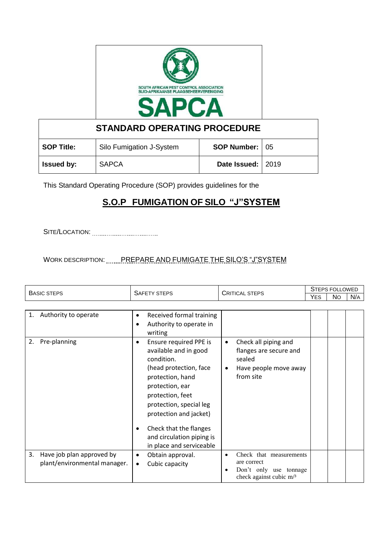

**STANDARD OPERATING PROCEDURE SOP Title:** Silo Fumigation J-System | **SOP Number:** 05 **Issued by:** SAPCA **Date Issued:** 2019

This Standard Operating Procedure (SOP) provides guidelines for the

## **S.O.P FUMIGATION OF SILO "J"SYSTEM**

SITE/LOCATION:

WORK DESCRIPTION: ........PREPARE AND FUMIGATE THE SILO'S "J"SYSTEM

| <b>BASIC STEPS</b> |                                                           | <b>SAFETY STEPS</b>                                                                                                                                                                                                                                                                                            | <b>CRITICAL STEPS</b>                                                                                                    | <b>STEPS FOLLOWED</b> |           |     |
|--------------------|-----------------------------------------------------------|----------------------------------------------------------------------------------------------------------------------------------------------------------------------------------------------------------------------------------------------------------------------------------------------------------------|--------------------------------------------------------------------------------------------------------------------------|-----------------------|-----------|-----|
|                    |                                                           |                                                                                                                                                                                                                                                                                                                |                                                                                                                          | <b>YES</b>            | <b>No</b> | N/A |
|                    |                                                           |                                                                                                                                                                                                                                                                                                                |                                                                                                                          |                       |           |     |
| 1.                 | Authority to operate                                      | Received formal training<br>$\bullet$<br>Authority to operate in                                                                                                                                                                                                                                               |                                                                                                                          |                       |           |     |
|                    |                                                           | writing                                                                                                                                                                                                                                                                                                        |                                                                                                                          |                       |           |     |
| 2.                 | Pre-planning                                              | <b>Ensure required PPE is</b><br>$\bullet$<br>available and in good<br>condition.<br>(head protection, face<br>protection, hand<br>protection, ear<br>protection, feet<br>protection, special leg<br>protection and jacket)<br>Check that the flanges<br>and circulation piping is<br>in place and serviceable | Check all piping and<br>$\bullet$<br>flanges are secure and<br>sealed<br>Have people move away<br>$\bullet$<br>from site |                       |           |     |
| 3.                 | Have job plan approved by<br>plant/environmental manager. | Obtain approval.<br>$\bullet$<br>Cubic capacity<br>$\bullet$                                                                                                                                                                                                                                                   | Check that measurements<br>$\bullet$<br>are correct<br>Don't only use tonnage<br>٠<br>check against cubic m/3            |                       |           |     |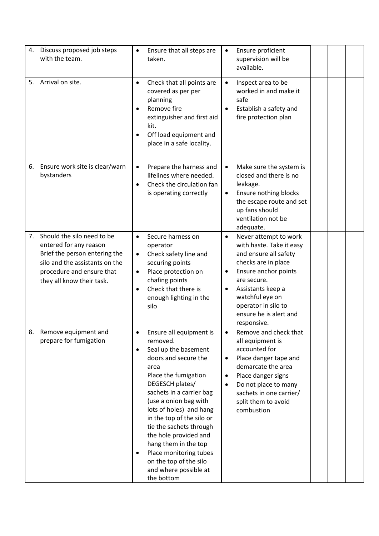|    | 4. Discuss proposed job steps<br>with the team.                                                                                                                                   | $\bullet$                                        | Ensure that all steps are<br>taken.                                                                                                                                                                                                                                                                                                                                                                                        | $\bullet$                                        | Ensure proficient<br>supervision will be<br>available.                                                                                                                                                                                           |  |  |
|----|-----------------------------------------------------------------------------------------------------------------------------------------------------------------------------------|--------------------------------------------------|----------------------------------------------------------------------------------------------------------------------------------------------------------------------------------------------------------------------------------------------------------------------------------------------------------------------------------------------------------------------------------------------------------------------------|--------------------------------------------------|--------------------------------------------------------------------------------------------------------------------------------------------------------------------------------------------------------------------------------------------------|--|--|
| 5. | Arrival on site.                                                                                                                                                                  | $\bullet$<br>٠<br>$\bullet$                      | Check that all points are<br>covered as per per<br>planning<br>Remove fire<br>extinguisher and first aid<br>kit.<br>Off load equipment and<br>place in a safe locality.                                                                                                                                                                                                                                                    | $\bullet$<br>$\bullet$                           | Inspect area to be<br>worked in and make it<br>safe<br>Establish a safety and<br>fire protection plan                                                                                                                                            |  |  |
| 6. | Ensure work site is clear/warn<br>bystanders                                                                                                                                      | $\bullet$<br>$\bullet$                           | Prepare the harness and<br>lifelines where needed.<br>Check the circulation fan<br>is operating correctly                                                                                                                                                                                                                                                                                                                  | $\bullet$<br>$\bullet$                           | Make sure the system is<br>closed and there is no<br>leakage.<br>Ensure nothing blocks<br>the escape route and set<br>up fans should<br>ventilation not be<br>adequate.                                                                          |  |  |
| 7. | Should the silo need to be<br>entered for any reason<br>Brief the person entering the<br>silo and the assistants on the<br>procedure and ensure that<br>they all know their task. | $\bullet$<br>$\bullet$<br>$\bullet$<br>$\bullet$ | Secure harness on<br>operator<br>Check safety line and<br>securing points<br>Place protection on<br>chafing points<br>Check that there is<br>enough lighting in the<br>silo                                                                                                                                                                                                                                                | $\bullet$<br>$\bullet$<br>$\bullet$              | Never attempt to work<br>with haste. Take it easy<br>and ensure all safety<br>checks are in place<br>Ensure anchor points<br>are secure.<br>Assistants keep a<br>watchful eye on<br>operator in silo to<br>ensure he is alert and<br>responsive. |  |  |
| 8. | Remove equipment and<br>prepare for fumigation                                                                                                                                    | $\bullet$<br>$\bullet$                           | Ensure all equipment is<br>removed.<br>Seal up the basement<br>doors and secure the<br>area<br>Place the fumigation<br>DEGESCH plates/<br>sachets in a carrier bag<br>(use a onion bag with<br>lots of holes) and hang<br>in the top of the silo or<br>tie the sachets through<br>the hole provided and<br>hang them in the top<br>Place monitoring tubes<br>on the top of the silo<br>and where possible at<br>the bottom | $\bullet$<br>$\bullet$<br>$\bullet$<br>$\bullet$ | Remove and check that<br>all equipment is<br>accounted for<br>Place danger tape and<br>demarcate the area<br>Place danger signs<br>Do not place to many<br>sachets in one carrier/<br>split them to avoid<br>combustion                          |  |  |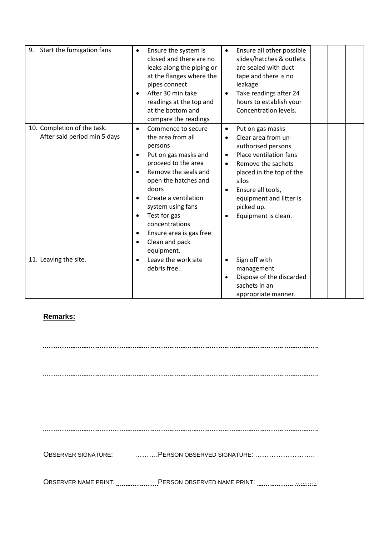| 9. Start the fumigation fans                                | Ensure the system is<br>$\bullet$<br>closed and there are no<br>leaks along the piping or<br>at the flanges where the<br>pipes connect<br>After 30 min take<br>$\bullet$<br>readings at the top and<br>at the bottom and<br>compare the readings                                                                                                                                                | Ensure all other possible<br>$\bullet$<br>slides/hatches & outlets<br>are sealed with duct<br>tape and there is no<br>leakage<br>Take readings after 24<br>$\bullet$<br>hours to establish your<br>Concentration levels.                                                                                              |  |
|-------------------------------------------------------------|-------------------------------------------------------------------------------------------------------------------------------------------------------------------------------------------------------------------------------------------------------------------------------------------------------------------------------------------------------------------------------------------------|-----------------------------------------------------------------------------------------------------------------------------------------------------------------------------------------------------------------------------------------------------------------------------------------------------------------------|--|
| 10. Completion of the task.<br>After said period min 5 days | Commence to secure<br>$\bullet$<br>the area from all<br>persons<br>Put on gas masks and<br>$\bullet$<br>proceed to the area<br>Remove the seals and<br>$\bullet$<br>open the hatches and<br>doors<br>Create a ventilation<br>$\bullet$<br>system using fans<br>Test for gas<br>$\bullet$<br>concentrations<br>Ensure area is gas free<br>$\bullet$<br>Clean and pack<br>$\bullet$<br>equipment. | Put on gas masks<br>$\bullet$<br>Clear area from un-<br>$\bullet$<br>authorised persons<br>Place ventilation fans<br>$\bullet$<br>Remove the sachets<br>$\bullet$<br>placed in the top of the<br>silos<br>Ensure all tools,<br>$\bullet$<br>equipment and litter is<br>picked up.<br>Equipment is clean.<br>$\bullet$ |  |
| 11. Leaving the site.                                       | Leave the work site<br>$\bullet$<br>debris free.                                                                                                                                                                                                                                                                                                                                                | Sign off with<br>$\bullet$<br>management<br>Dispose of the discarded<br>$\bullet$<br>sachets in an<br>appropriate manner.                                                                                                                                                                                             |  |

## **Remarks:**

OBSERVER SIGNATURE: .........................PERSON OBSERVED SIGNATURE: ............................ OBSERVER NAME PRINT: .........................PERSON OBSERVED NAME PRINT: ...................................